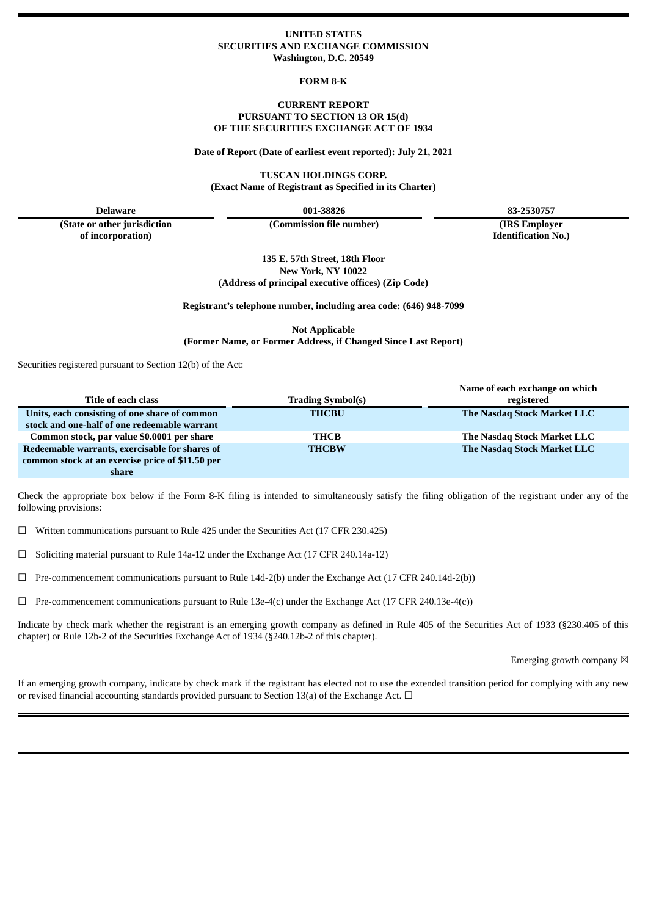### **UNITED STATES SECURITIES AND EXCHANGE COMMISSION Washington, D.C. 20549**

**FORM 8-K**

#### **CURRENT REPORT PURSUANT TO SECTION 13 OR 15(d) OF THE SECURITIES EXCHANGE ACT OF 1934**

**Date of Report (Date of earliest event reported): July 21, 2021**

**TUSCAN HOLDINGS CORP. (Exact Name of Registrant as Specified in its Charter)**

**(State or other jurisdiction of incorporation)**

**(Commission file number) (IRS Employer**

**Delaware 001-38826 83-2530757**

**Identification No.)**

**135 E. 57th Street, 18th Floor New York, NY 10022 (Address of principal executive offices) (Zip Code)**

**Registrant's telephone number, including area code: (646) 948-7099**

**Not Applicable (Former Name, or Former Address, if Changed Since Last Report)**

Securities registered pursuant to Section 12(b) of the Act:

|                                                  |                          | Name of each exchange on which |
|--------------------------------------------------|--------------------------|--------------------------------|
| <b>Title of each class</b>                       | <b>Trading Symbol(s)</b> | registered                     |
| Units, each consisting of one share of common    | <b>THCBU</b>             | The Nasdaq Stock Market LLC    |
| stock and one-half of one redeemable warrant     |                          |                                |
| Common stock, par value \$0.0001 per share       | THCB                     | The Nasdag Stock Market LLC    |
| Redeemable warrants, exercisable for shares of   | <b>THCBW</b>             | The Nasdaq Stock Market LLC    |
| common stock at an exercise price of \$11.50 per |                          |                                |
| share                                            |                          |                                |

Check the appropriate box below if the Form 8-K filing is intended to simultaneously satisfy the filing obligation of the registrant under any of the following provisions:

 $\Box$  Written communications pursuant to Rule 425 under the Securities Act (17 CFR 230.425)

☐ Soliciting material pursuant to Rule 14a-12 under the Exchange Act (17 CFR 240.14a-12)

☐ Pre-commencement communications pursuant to Rule 14d-2(b) under the Exchange Act (17 CFR 240.14d-2(b))

 $\Box$  Pre-commencement communications pursuant to Rule 13e-4(c) under the Exchange Act (17 CFR 240.13e-4(c))

Indicate by check mark whether the registrant is an emerging growth company as defined in Rule 405 of the Securities Act of 1933 (§230.405 of this chapter) or Rule 12b-2 of the Securities Exchange Act of 1934 (§240.12b-2 of this chapter).

Emerging growth company  $\boxtimes$ 

If an emerging growth company, indicate by check mark if the registrant has elected not to use the extended transition period for complying with any new or revised financial accounting standards provided pursuant to Section 13(a) of the Exchange Act. □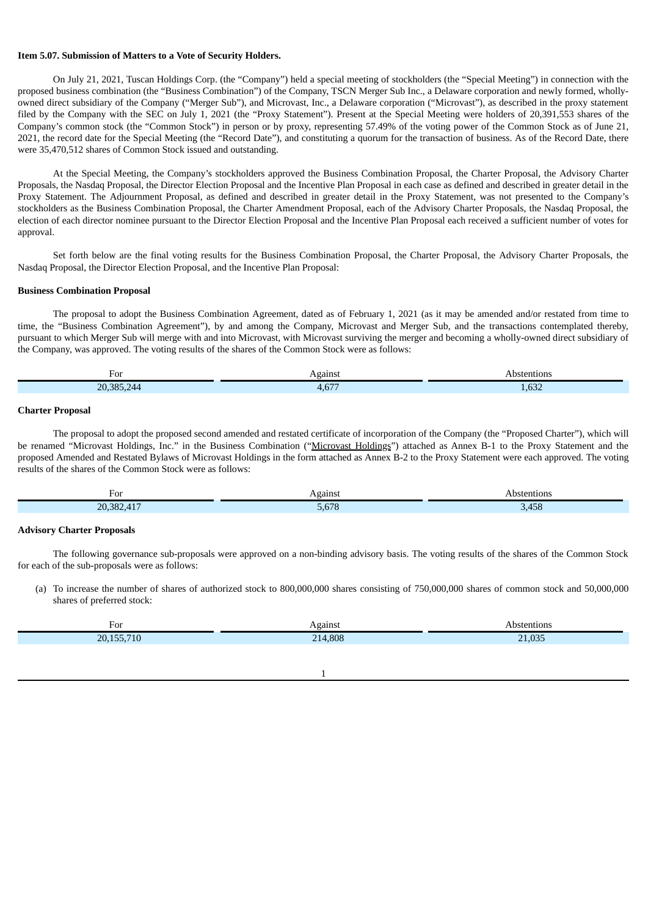#### **Item 5.07. Submission of Matters to a Vote of Security Holders.**

On July 21, 2021, Tuscan Holdings Corp. (the "Company") held a special meeting of stockholders (the "Special Meeting") in connection with the proposed business combination (the "Business Combination") of the Company, TSCN Merger Sub Inc., a Delaware corporation and newly formed, whollyowned direct subsidiary of the Company ("Merger Sub"), and Microvast, Inc., a Delaware corporation ("Microvast"), as described in the proxy statement filed by the Company with the SEC on July 1, 2021 (the "Proxy Statement"). Present at the Special Meeting were holders of 20,391,553 shares of the Company's common stock (the "Common Stock") in person or by proxy, representing 57.49% of the voting power of the Common Stock as of June 21, 2021, the record date for the Special Meeting (the "Record Date"), and constituting a quorum for the transaction of business. As of the Record Date, there were 35,470,512 shares of Common Stock issued and outstanding.

At the Special Meeting, the Company's stockholders approved the Business Combination Proposal, the Charter Proposal, the Advisory Charter Proposals, the Nasdaq Proposal, the Director Election Proposal and the Incentive Plan Proposal in each case as defined and described in greater detail in the Proxy Statement. The Adjournment Proposal, as defined and described in greater detail in the Proxy Statement, was not presented to the Company's stockholders as the Business Combination Proposal, the Charter Amendment Proposal, each of the Advisory Charter Proposals, the Nasdaq Proposal, the election of each director nominee pursuant to the Director Election Proposal and the Incentive Plan Proposal each received a sufficient number of votes for approval.

Set forth below are the final voting results for the Business Combination Proposal, the Charter Proposal, the Advisory Charter Proposals, the Nasdaq Proposal, the Director Election Proposal, and the Incentive Plan Proposal:

#### **Business Combination Proposal**

The proposal to adopt the Business Combination Agreement, dated as of February 1, 2021 (as it may be amended and/or restated from time to time, the "Business Combination Agreement"), by and among the Company, Microvast and Merger Sub, and the transactions contemplated thereby, pursuant to which Merger Sub will merge with and into Microvast, with Microvast surviving the merger and becoming a wholly-owned direct subsidiary of the Company, was approved. The voting results of the shares of the Common Stock were as follows:

| For                    | Agains<br>__ | Abstentions<br>. |
|------------------------|--------------|------------------|
| 20.385<br>1 A A<br>ZU. | $\sim$       | $\sim$<br>1,632  |

#### **Charter Proposal**

The proposal to adopt the proposed second amended and restated certificate of incorporation of the Company (the "Proposed Charter"), which will be renamed "Microvast Holdings, Inc." in the Business Combination ("Microvast Holdings") attached as Annex B-1 to the Proxy Statement and the proposed Amended and Restated Bylaws of Microvast Holdings in the form attached as Annex B-2 to the Proxy Statement were each approved. The voting results of the shares of the Common Stock were as follows:

| For                                                                   | Against       | Abstentions |
|-----------------------------------------------------------------------|---------------|-------------|
| רפכ<br>4.4 <sub>1</sub><br>$\overline{2}$<br>2 U<br><b>CONTRACTOR</b> | FCTO<br>0.070 | 3,458       |

#### **Advisory Charter Proposals**

The following governance sub-proposals were approved on a non-binding advisory basis. The voting results of the shares of the Common Stock for each of the sub-proposals were as follows:

(a) To increase the number of shares of authorized stock to 800,000,000 shares consisting of 750,000,000 shares of common stock and 50,000,000 shares of preferred stock:

| For         | Against | on:                                 |
|-------------|---------|-------------------------------------|
| 20.15<br>TU | .808    | $\overline{O}$<br><b>01</b><br>.uju |
|             |         |                                     |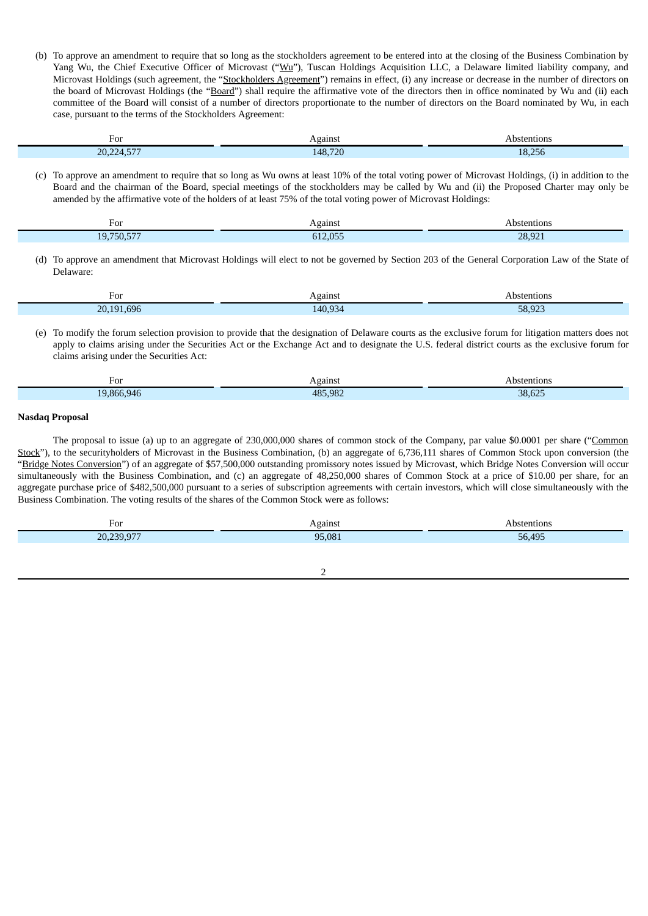(b) To approve an amendment to require that so long as the stockholders agreement to be entered into at the closing of the Business Combination by Yang Wu, the Chief Executive Officer of Microvast ("Wu"), Tuscan Holdings Acquisition LLC, a Delaware limited liability company, and Microvast Holdings (such agreement, the "Stockholders Agreement") remains in effect, (i) any increase or decrease in the number of directors on the board of Microvast Holdings (the "Board") shall require the affirmative vote of the directors then in office nominated by Wu and (ii) each committee of the Board will consist of a number of directors proportionate to the number of directors on the Board nominated by Wu, in each case, pursuant to the terms of the Stockholders Agreement:

| י ה<br>FUI                                                | Againsi | tentions<br>'SI+ |
|-----------------------------------------------------------|---------|------------------|
| __<br>20<br>$\lambda$<br>$\sim$ $\sim$ $\sim$ $\sim$<br>. | 148.720 | 18,256           |

(c) To approve an amendment to require that so long as Wu owns at least 10% of the total voting power of Microvast Holdings, (i) in addition to the Board and the chairman of the Board, special meetings of the stockholders may be called by Wu and (ii) the Proposed Charter may only be amended by the affirmative vote of the holders of at least 75% of the total voting power of Microvast Holdings:

| $-02$<br>T. OT<br>___                               | Against<br>___ | bstentions<br>. |
|-----------------------------------------------------|----------------|-----------------|
| $- - - -$<br>$- - -$<br>1 <sub>O</sub><br>50.5<br>∸ | 6120E<br>. .   | 28,921          |

(d) To approve an amendment that Microvast Holdings will elect to not be governed by Section 203 of the General Corporation Law of the State of Delaware:

| For                  | <b>\gainst</b> | entions<br>.<br>___ |
|----------------------|----------------|---------------------|
| 69f<br>20.191<br>___ | 140.934        | 58.023<br>- -       |

(e) To modify the forum selection provision to provide that the designation of Delaware courts as the exclusive forum for litigation matters does not apply to claims arising under the Securities Act or the Exchange Act and to designate the U.S. federal district courts as the exclusive forum for claims arising under the Securities Act:

| ⊦∩ו<br>. ט<br>____ | `gains.            | Abstentions |
|--------------------|--------------------|-------------|
| 866.<br>-946       | $AB5$ $98$<br>.JU2 | $-38.62$    |

#### **Nasdaq Proposal**

The proposal to issue (a) up to an aggregate of 230,000,000 shares of common stock of the Company, par value \$0.0001 per share ("Common Stock"), to the securityholders of Microvast in the Business Combination, (b) an aggregate of 6,736,111 shares of Common Stock upon conversion (the "Bridge Notes Conversion") of an aggregate of \$57,500,000 outstanding promissory notes issued by Microvast, which Bridge Notes Conversion will occur simultaneously with the Business Combination, and (c) an aggregate of 48,250,000 shares of Common Stock at a price of \$10.00 per share, for an aggregate purchase price of \$482,500,000 pursuant to a series of subscription agreements with certain investors, which will close simultaneously with the Business Combination. The voting results of the shares of the Common Stock were as follows:

| For        | Against | Abstentions |
|------------|---------|-------------|
| 20,239,977 | 95,081  | 56,495      |
|            |         |             |
|            |         |             |

 $\overline{2}$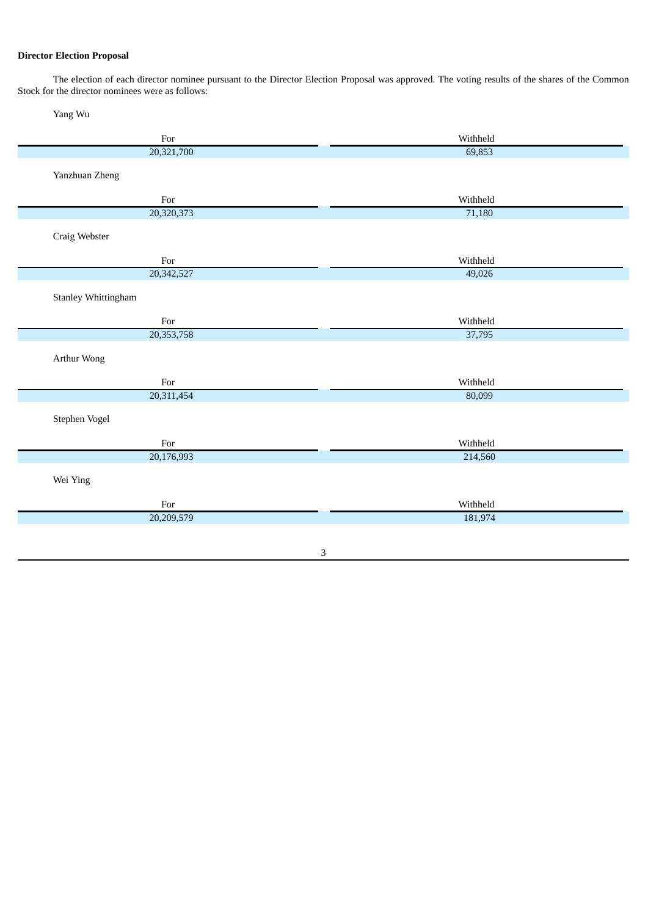## **Director Election Proposal**

The election of each director nominee pursuant to the Director Election Proposal was approved. The voting results of the shares of the Common Stock for the director nominees were as follows:

Yang Wu

| For                                                                                                         | Withheld |
|-------------------------------------------------------------------------------------------------------------|----------|
| 20,321,700                                                                                                  | 69,853   |
| Yanzhuan Zheng                                                                                              |          |
|                                                                                                             |          |
| For                                                                                                         | Withheld |
| 20,320,373                                                                                                  | 71,180   |
| Craig Webster                                                                                               |          |
| For                                                                                                         | Withheld |
| 20,342,527                                                                                                  | 49,026   |
| <b>Stanley Whittingham</b>                                                                                  |          |
| For                                                                                                         | Withheld |
| 20,353,758                                                                                                  | 37,795   |
| Arthur Wong                                                                                                 |          |
| For                                                                                                         | Withheld |
| 20,311,454                                                                                                  | 80,099   |
| Stephen Vogel                                                                                               |          |
| $\operatorname*{For}% \nolimits_{\mathbb{Z}}\left( \mathbb{Z}^{\Sigma\left( 1\right) }\right) ^{\otimes n}$ | Withheld |
| 20,176,993                                                                                                  | 214,560  |
| Wei Ying                                                                                                    |          |
| For                                                                                                         | Withheld |
| 20,209,579                                                                                                  | 181,974  |
|                                                                                                             |          |
|                                                                                                             | 3        |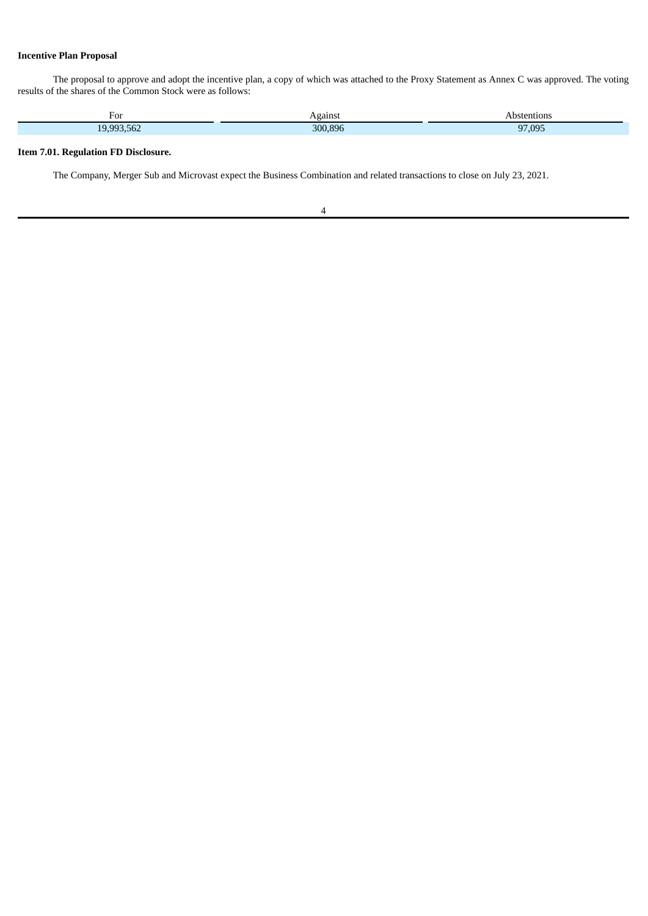## **Incentive Plan Proposal**

The proposal to approve and adopt the incentive plan, a copy of which was attached to the Proxy Statement as Annex C was approved. The voting results of the shares of the Common Stock were as follows:

| For               | Against<br>__ | Abstentions<br>. |
|-------------------|---------------|------------------|
| 19993562<br>∠סה.נ | 300,896       | 97,095           |

## **Item 7.01. Regulation FD Disclosure.**

The Company, Merger Sub and Microvast expect the Business Combination and related transactions to close on July 23, 2021.